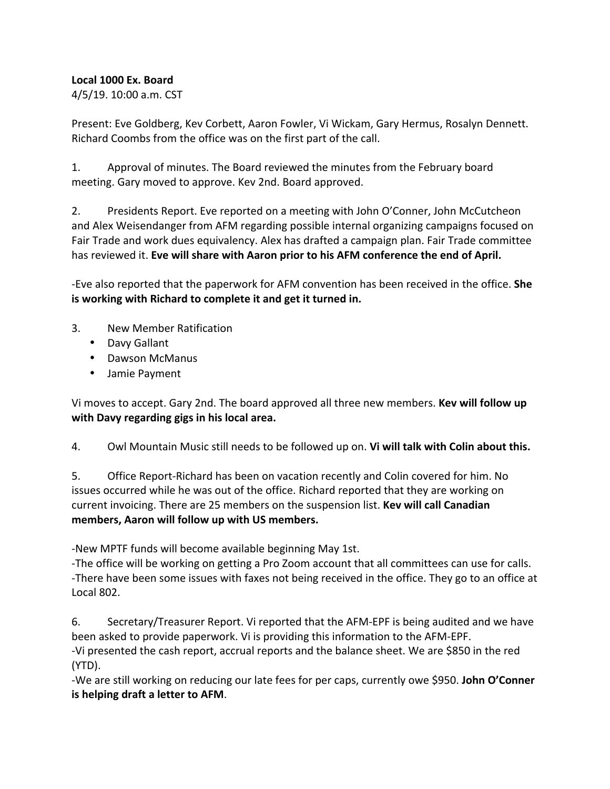### **Local 1000 Ex. Board**

4/5/19. 10:00 a.m. CST

Present: Eve Goldberg, Kev Corbett, Aaron Fowler, Vi Wickam, Gary Hermus, Rosalyn Dennett. Richard Coombs from the office was on the first part of the call.

1. Approval of minutes. The Board reviewed the minutes from the February board meeting. Gary moved to approve. Kev 2nd. Board approved.

2. Presidents Report. Eve reported on a meeting with John O'Conner, John McCutcheon and Alex Weisendanger from AFM regarding possible internal organizing campaigns focused on Fair Trade and work dues equivalency. Alex has drafted a campaign plan. Fair Trade committee has reviewed it. Eve will share with Aaron prior to his AFM conference the end of April.

-Eve also reported that the paperwork for AFM convention has been received in the office. She **is working with Richard to complete it and get it turned in.** 

- 3. New Member Ratification
	- Davy Gallant
	- Dawson McManus
	- Jamie Payment

Vi moves to accept. Gary 2nd. The board approved all three new members. **Kev will follow up with Davy regarding gigs in his local area.** 

4. Owl Mountain Music still needs to be followed up on. **Vi will talk with Colin about this.** 

5. Office Report-Richard has been on vacation recently and Colin covered for him. No issues occurred while he was out of the office. Richard reported that they are working on current invoicing. There are 25 members on the suspension list. **Key will call Canadian** members, Aaron will follow up with US members.

-New MPTF funds will become available beginning May 1st.

-The office will be working on getting a Pro Zoom account that all committees can use for calls. -There have been some issues with faxes not being received in the office. They go to an office at Local 802.

6. Secretary/Treasurer Report. Vi reported that the AFM-EPF is being audited and we have been asked to provide paperwork. Vi is providing this information to the AFM-EPF. -Vi presented the cash report, accrual reports and the balance sheet. We are \$850 in the red (YTD). 

-We are still working on reducing our late fees for per caps, currently owe \$950. **John O'Conner is helping draft a letter to AFM.**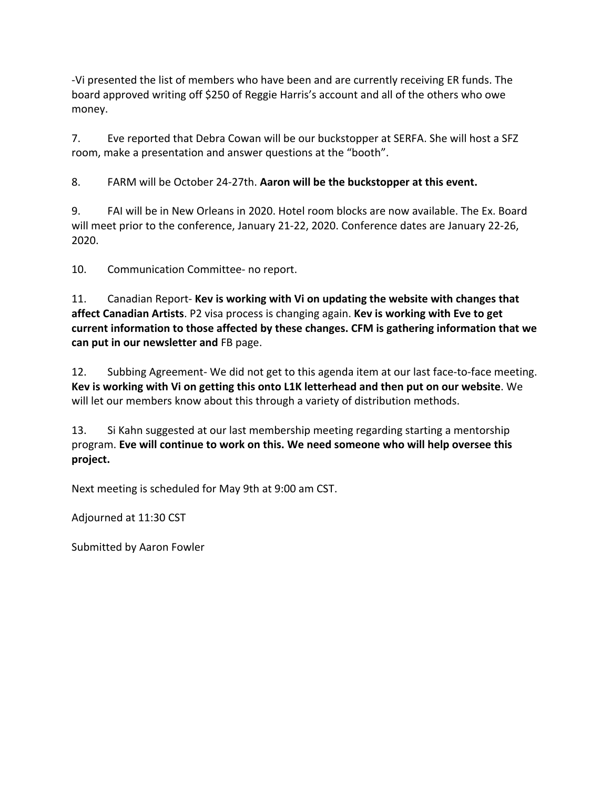-Vi presented the list of members who have been and are currently receiving ER funds. The board approved writing off \$250 of Reggie Harris's account and all of the others who owe money. 

7. Eve reported that Debra Cowan will be our buckstopper at SERFA. She will host a SFZ room, make a presentation and answer questions at the "booth".

8. FARM will be October 24-27th. Aaron will be the buckstopper at this event.

9. FAI will be in New Orleans in 2020. Hotel room blocks are now available. The Ex. Board will meet prior to the conference, January 21-22, 2020. Conference dates are January 22-26, 2020. 

10. Communication Committee- no report.

11. Canadian Report- Kev is working with Vi on updating the website with changes that **affect Canadian Artists**. P2 visa process is changing again. **Kev is working with Eve to get** current information to those affected by these changes. CFM is gathering information that we **can put in our newsletter and FB page.** 

12. Subbing Agreement- We did not get to this agenda item at our last face-to-face meeting. **Kev is working with Vi on getting this onto L1K letterhead and then put on our website.** We will let our members know about this through a variety of distribution methods.

13. Si Kahn suggested at our last membership meeting regarding starting a mentorship program. Eve will continue to work on this. We need someone who will help oversee this **project.**

Next meeting is scheduled for May 9th at 9:00 am CST.

Adjourned at 11:30 CST

Submitted by Aaron Fowler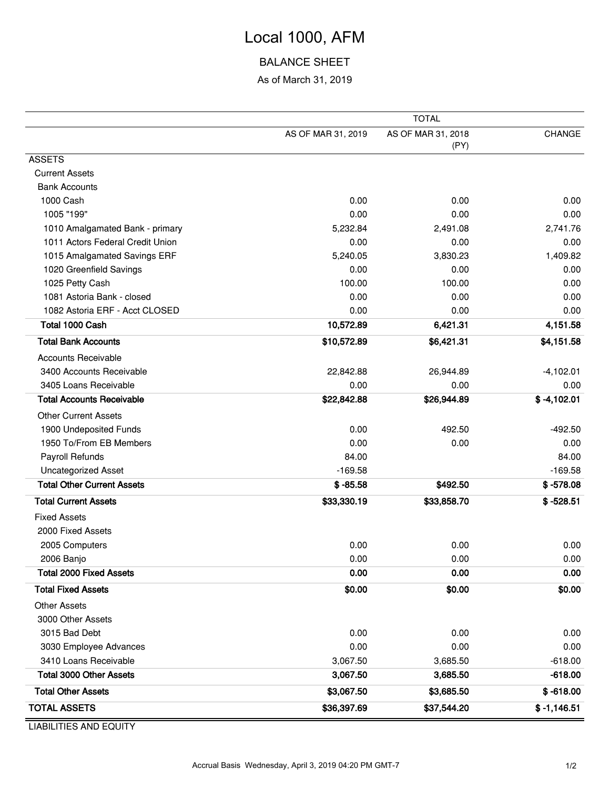# Local 1000, AFM

### BALANCE SHEET

As of March 31, 2019

|                                   | <b>TOTAL</b>       |                    |               |  |  |  |
|-----------------------------------|--------------------|--------------------|---------------|--|--|--|
|                                   | AS OF MAR 31, 2019 | AS OF MAR 31, 2018 | CHANGE        |  |  |  |
|                                   |                    | (PY)               |               |  |  |  |
| <b>ASSETS</b>                     |                    |                    |               |  |  |  |
| <b>Current Assets</b>             |                    |                    |               |  |  |  |
| <b>Bank Accounts</b>              |                    |                    |               |  |  |  |
| 1000 Cash                         | 0.00               | 0.00               | 0.00          |  |  |  |
| 1005 "199"                        | 0.00               | 0.00               | 0.00          |  |  |  |
| 1010 Amalgamated Bank - primary   | 5,232.84           | 2,491.08           | 2,741.76      |  |  |  |
| 1011 Actors Federal Credit Union  | 0.00               | 0.00               | 0.00          |  |  |  |
| 1015 Amalgamated Savings ERF      | 5,240.05           | 3,830.23           | 1,409.82      |  |  |  |
| 1020 Greenfield Savings           | 0.00               | 0.00               | 0.00          |  |  |  |
| 1025 Petty Cash                   | 100.00             | 100.00             | 0.00          |  |  |  |
| 1081 Astoria Bank - closed        | 0.00               | 0.00               | 0.00          |  |  |  |
| 1082 Astoria ERF - Acct CLOSED    | 0.00               | 0.00               | 0.00          |  |  |  |
| Total 1000 Cash                   | 10,572.89          | 6,421.31           | 4,151.58      |  |  |  |
| <b>Total Bank Accounts</b>        | \$10,572.89        | \$6,421.31         | \$4,151.58    |  |  |  |
| <b>Accounts Receivable</b>        |                    |                    |               |  |  |  |
| 3400 Accounts Receivable          | 22,842.88          | 26,944.89          | $-4,102.01$   |  |  |  |
| 3405 Loans Receivable             | 0.00               | 0.00               | 0.00          |  |  |  |
| <b>Total Accounts Receivable</b>  | \$22,842.88        | \$26,944.89        | $$ -4,102.01$ |  |  |  |
| <b>Other Current Assets</b>       |                    |                    |               |  |  |  |
| 1900 Undeposited Funds            | 0.00               | 492.50             | $-492.50$     |  |  |  |
| 1950 To/From EB Members           | 0.00               | 0.00               | 0.00          |  |  |  |
| Payroll Refunds                   | 84.00              |                    | 84.00         |  |  |  |
| <b>Uncategorized Asset</b>        | $-169.58$          |                    | $-169.58$     |  |  |  |
| <b>Total Other Current Assets</b> | $$ -85.58$         | \$492.50           | $$ -578.08$   |  |  |  |
| <b>Total Current Assets</b>       | \$33,330.19        | \$33,858.70        | $$ -528.51$   |  |  |  |
| <b>Fixed Assets</b>               |                    |                    |               |  |  |  |
| 2000 Fixed Assets                 |                    |                    |               |  |  |  |
| 2005 Computers                    | 0.00               | 0.00               | 0.00          |  |  |  |
| 2006 Banjo                        | 0.00               | 0.00               | 0.00          |  |  |  |
| <b>Total 2000 Fixed Assets</b>    | 0.00               | 0.00               | 0.00          |  |  |  |
| <b>Total Fixed Assets</b>         | \$0.00             | \$0.00             | \$0.00        |  |  |  |
| <b>Other Assets</b>               |                    |                    |               |  |  |  |
| 3000 Other Assets                 |                    |                    |               |  |  |  |
| 3015 Bad Debt                     | 0.00               | 0.00               | 0.00          |  |  |  |
| 3030 Employee Advances            | 0.00               | 0.00               | 0.00          |  |  |  |
| 3410 Loans Receivable             | 3,067.50           | 3,685.50           | $-618.00$     |  |  |  |
| <b>Total 3000 Other Assets</b>    | 3,067.50           | 3,685.50           | $-618.00$     |  |  |  |
| <b>Total Other Assets</b>         | \$3,067.50         | \$3,685.50         | $$ -618.00$   |  |  |  |
| <b>TOTAL ASSETS</b>               | \$36,397.69        | \$37,544.20        | $$ -1,146.51$ |  |  |  |

LIABILITIES AND EQUITY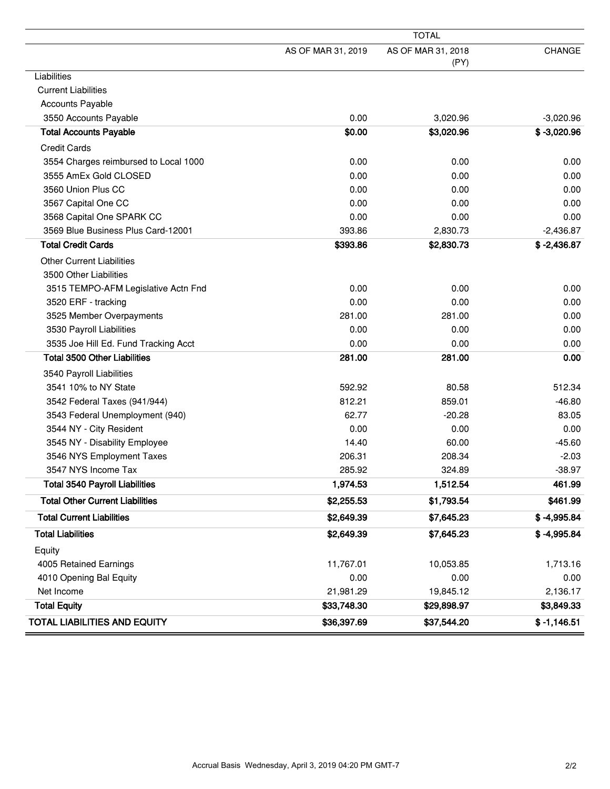|                                        | <b>TOTAL</b>       |                    |               |  |  |
|----------------------------------------|--------------------|--------------------|---------------|--|--|
|                                        | AS OF MAR 31, 2019 | AS OF MAR 31, 2018 | <b>CHANGE</b> |  |  |
|                                        |                    | (PY)               |               |  |  |
| Liabilities                            |                    |                    |               |  |  |
| <b>Current Liabilities</b>             |                    |                    |               |  |  |
| <b>Accounts Payable</b>                |                    |                    |               |  |  |
| 3550 Accounts Payable                  | 0.00               | 3,020.96           | $-3,020.96$   |  |  |
| <b>Total Accounts Payable</b>          | \$0.00             | \$3,020.96         | $$ -3,020.96$ |  |  |
| <b>Credit Cards</b>                    |                    |                    |               |  |  |
| 3554 Charges reimbursed to Local 1000  | 0.00               | 0.00               | 0.00          |  |  |
| 3555 AmEx Gold CLOSED                  | 0.00               | 0.00               | 0.00          |  |  |
| 3560 Union Plus CC                     | 0.00               | 0.00               | 0.00          |  |  |
| 3567 Capital One CC                    | 0.00               | 0.00               | 0.00          |  |  |
| 3568 Capital One SPARK CC              | 0.00               | 0.00               | 0.00          |  |  |
| 3569 Blue Business Plus Card-12001     | 393.86             | 2,830.73           | $-2,436.87$   |  |  |
| <b>Total Credit Cards</b>              | \$393.86           | \$2,830.73         | $$ -2,436.87$ |  |  |
| <b>Other Current Liabilities</b>       |                    |                    |               |  |  |
| 3500 Other Liabilities                 |                    |                    |               |  |  |
| 3515 TEMPO-AFM Legislative Actn Fnd    | 0.00               | 0.00               | 0.00          |  |  |
| 3520 ERF - tracking                    | 0.00               | 0.00               | 0.00          |  |  |
| 3525 Member Overpayments               | 281.00             | 281.00             | 0.00          |  |  |
| 3530 Payroll Liabilities               | 0.00               | 0.00               | 0.00          |  |  |
| 3535 Joe Hill Ed. Fund Tracking Acct   | 0.00               | 0.00               | 0.00          |  |  |
| <b>Total 3500 Other Liabilities</b>    | 281.00             | 281.00             | 0.00          |  |  |
| 3540 Payroll Liabilities               |                    |                    |               |  |  |
| 3541 10% to NY State                   | 592.92             | 80.58              | 512.34        |  |  |
| 3542 Federal Taxes (941/944)           | 812.21             | 859.01             | $-46.80$      |  |  |
| 3543 Federal Unemployment (940)        | 62.77              | $-20.28$           | 83.05         |  |  |
| 3544 NY - City Resident                | 0.00               | 0.00               | 0.00          |  |  |
| 3545 NY - Disability Employee          | 14.40              | 60.00              | $-45.60$      |  |  |
| 3546 NYS Employment Taxes              | 206.31             | 208.34             | $-2.03$       |  |  |
| 3547 NYS Income Tax                    | 285.92             | 324.89             | $-38.97$      |  |  |
| <b>Total 3540 Payroll Liabilities</b>  | 1,974.53           | 1,512.54           | 461.99        |  |  |
| <b>Total Other Current Liabilities</b> | \$2,255.53         | \$1,793.54         | \$461.99      |  |  |
| <b>Total Current Liabilities</b>       | \$2,649.39         | \$7,645.23         | $$ -4,995.84$ |  |  |
| <b>Total Liabilities</b>               | \$2,649.39         | \$7,645.23         | $$ -4,995.84$ |  |  |
| Equity                                 |                    |                    |               |  |  |
| 4005 Retained Earnings                 | 11,767.01          | 10,053.85          | 1,713.16      |  |  |
| 4010 Opening Bal Equity                | 0.00               | 0.00               | 0.00          |  |  |
| Net Income                             | 21,981.29          | 19,845.12          | 2,136.17      |  |  |
| <b>Total Equity</b>                    | \$33,748.30        | \$29,898.97        | \$3,849.33    |  |  |
| <b>TOTAL LIABILITIES AND EQUITY</b>    | \$36,397.69        | \$37,544.20        | $$ -1,146.51$ |  |  |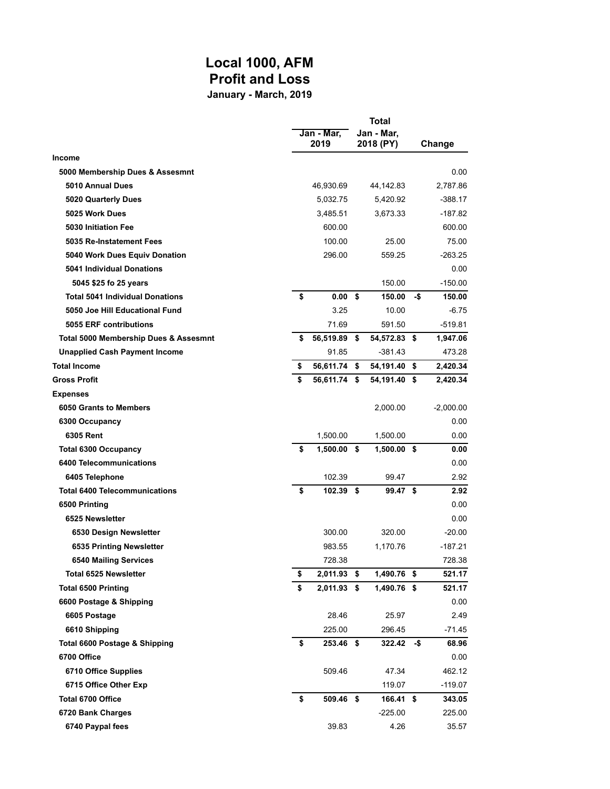## **Local 1000, AFM Profit and Loss January - March, 2019**

|                                        | Total |                    |    |                         |     |             |
|----------------------------------------|-------|--------------------|----|-------------------------|-----|-------------|
|                                        |       | Jan - Mar,<br>2019 |    | Jan - Mar,<br>2018 (PY) |     | Change      |
| <b>Income</b>                          |       |                    |    |                         |     |             |
| 5000 Membership Dues & Assesmnt        |       |                    |    |                         |     | 0.00        |
| 5010 Annual Dues                       |       | 46,930.69          |    | 44,142.83               |     | 2,787.86    |
| 5020 Quarterly Dues                    |       | 5,032.75           |    | 5,420.92                |     | $-388.17$   |
| 5025 Work Dues                         |       | 3,485.51           |    | 3,673.33                |     | -187.82     |
| 5030 Initiation Fee                    |       | 600.00             |    |                         |     | 600.00      |
| 5035 Re-Instatement Fees               |       | 100.00             |    | 25.00                   |     | 75.00       |
| 5040 Work Dues Equiv Donation          |       | 296.00             |    | 559.25                  |     | $-263.25$   |
| 5041 Individual Donations              |       |                    |    |                         |     | 0.00        |
| 5045 \$25 fo 25 years                  |       |                    |    | 150.00                  |     | $-150.00$   |
| <b>Total 5041 Individual Donations</b> | \$    | 0.00               | \$ | 150.00                  | -\$ | 150.00      |
| 5050 Joe Hill Educational Fund         |       | 3.25               |    | 10.00                   |     | $-6.75$     |
| 5055 ERF contributions                 |       | 71.69              |    | 591.50                  |     | $-519.81$   |
| Total 5000 Membership Dues & Assesmnt  | \$    | 56,519.89 \$       |    | 54,572.83 \$            |     | 1,947.06    |
| <b>Unapplied Cash Payment Income</b>   |       | 91.85              |    | $-381.43$               |     | 473.28      |
| <b>Total Income</b>                    | \$    | 56,611.74 \$       |    | 54,191.40 \$            |     | 2,420.34    |
| <b>Gross Profit</b>                    | \$    | 56,611.74 \$       |    | 54,191.40 \$            |     | 2,420.34    |
| <b>Expenses</b>                        |       |                    |    |                         |     |             |
| 6050 Grants to Members                 |       |                    |    | 2,000.00                |     | $-2,000.00$ |
| 6300 Occupancy                         |       |                    |    |                         |     | 0.00        |
| 6305 Rent                              |       | 1,500.00           |    | 1,500.00                |     | 0.00        |
| <b>Total 6300 Occupancy</b>            | \$    | $1,500.00$ \$      |    | $1,500.00$ \$           |     | 0.00        |
| 6400 Telecommunications                |       |                    |    |                         |     | 0.00        |
| 6405 Telephone                         |       | 102.39             |    | 99.47                   |     | 2.92        |
| <b>Total 6400 Telecommunications</b>   | \$    | 102.39 \$          |    | 99.47 \$                |     | 2.92        |
| 6500 Printing                          |       |                    |    |                         |     | 0.00        |
| 6525 Newsletter                        |       |                    |    |                         |     | 0.00        |
| 6530 Design Newsletter                 |       | 300.00             |    | 320.00                  |     | $-20.00$    |
| 6535 Printing Newsletter               |       | 983.55             |    | 1,170.76                |     | $-187.21$   |
| <b>6540 Mailing Services</b>           |       | 728.38             |    |                         |     | 728.38      |
| <b>Total 6525 Newsletter</b>           | \$    | 2,011.93 \$        |    | 1,490.76 \$             |     | 521.17      |
| <b>Total 6500 Printing</b>             | \$    | 2,011.93 \$        |    | 1,490.76 \$             |     | 521.17      |
| 6600 Postage & Shipping                |       |                    |    |                         |     | 0.00        |
| 6605 Postage                           |       | 28.46              |    | 25.97                   |     | 2.49        |
| 6610 Shipping                          |       | 225.00             |    | 296.45                  |     | $-71.45$    |
| Total 6600 Postage & Shipping          | \$    | 253.46 \$          |    | 322.42                  | -\$ | 68.96       |
| 6700 Office                            |       |                    |    |                         |     | 0.00        |
| 6710 Office Supplies                   |       | 509.46             |    | 47.34                   |     | 462.12      |
| 6715 Office Other Exp                  |       |                    |    | 119.07                  |     | $-119.07$   |
| Total 6700 Office                      | \$    | 509.46 \$          |    | 166.41 \$               |     | 343.05      |
| 6720 Bank Charges                      |       |                    |    | $-225.00$               |     | 225.00      |
| 6740 Paypal fees                       |       | 39.83              |    | 4.26                    |     | 35.57       |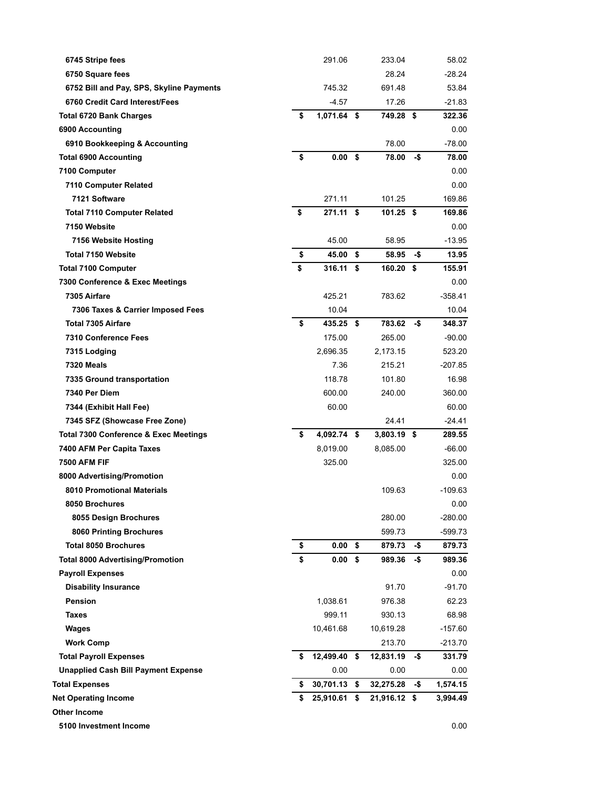| 6745 Stripe fees                                 | 291.06                  | 233.04       |     | 58.02     |
|--------------------------------------------------|-------------------------|--------------|-----|-----------|
| 6750 Square fees                                 |                         | 28.24        |     | $-28.24$  |
| 6752 Bill and Pay, SPS, Skyline Payments         | 745.32                  | 691.48       |     | 53.84     |
| 6760 Credit Card Interest/Fees                   | $-4.57$                 | 17.26        |     | -21.83    |
| <b>Total 6720 Bank Charges</b>                   | \$<br>1,071.64 \$       | 749.28 \$    |     | 322.36    |
| 6900 Accounting                                  |                         |              |     | 0.00      |
| 6910 Bookkeeping & Accounting                    |                         | 78.00        |     | $-78.00$  |
| <b>Total 6900 Accounting</b>                     | \$<br>0.00 <sup>5</sup> | 78.00        | -\$ | 78.00     |
| 7100 Computer                                    |                         |              |     | 0.00      |
| 7110 Computer Related                            |                         |              |     | 0.00      |
| 7121 Software                                    | 271.11                  | 101.25       |     | 169.86    |
| <b>Total 7110 Computer Related</b>               | \$<br>271.11 \$         | 101.25 \$    |     | 169.86    |
| 7150 Website                                     |                         |              |     | 0.00      |
| 7156 Website Hosting                             | 45.00                   | 58.95        |     | $-13.95$  |
| <b>Total 7150 Website</b>                        | \$<br>45.00 \$          | 58.95        | -\$ | 13.95     |
| <b>Total 7100 Computer</b>                       | \$<br>316.11 S          | 160.20 \$    |     | 155.91    |
| 7300 Conference & Exec Meetings                  |                         |              |     | 0.00      |
| 7305 Airfare                                     | 425.21                  | 783.62       |     | $-358.41$ |
| 7306 Taxes & Carrier Imposed Fees                | 10.04                   |              |     | 10.04     |
| <b>Total 7305 Airfare</b>                        | \$<br>435.25 \$         | 783.62       | -\$ | 348.37    |
| 7310 Conference Fees                             | 175.00                  | 265.00       |     | $-90.00$  |
| 7315 Lodging                                     | 2,696.35                | 2,173.15     |     | 523.20    |
| 7320 Meals                                       | 7.36                    | 215.21       |     | $-207.85$ |
| 7335 Ground transportation                       | 118.78                  | 101.80       |     | 16.98     |
| 7340 Per Diem                                    | 600.00                  | 240.00       |     | 360.00    |
| 7344 (Exhibit Hall Fee)                          | 60.00                   |              |     | 60.00     |
| 7345 SFZ (Showcase Free Zone)                    |                         | 24.41        |     | -24.41    |
| <b>Total 7300 Conference &amp; Exec Meetings</b> | \$<br>4,092.74 \$       | 3,803.19 \$  |     | 289.55    |
| 7400 AFM Per Capita Taxes                        | 8,019.00                | 8,085.00     |     | -66.00    |
| <b>7500 AFM FIF</b>                              | 325.00                  |              |     | 325.00    |
| 8000 Advertising/Promotion                       |                         |              |     | 0.00      |
| <b>8010 Promotional Materials</b>                |                         | 109.63       |     | -109.63   |
| 8050 Brochures                                   |                         |              |     | 0.00      |
| 8055 Design Brochures                            |                         | 280.00       |     | $-280.00$ |
| 8060 Printing Brochures                          |                         | 599.73       |     | $-599.73$ |
| <b>Total 8050 Brochures</b>                      | \$<br>$0.00$ \$         | 879.73       | -\$ | 879.73    |
| <b>Total 8000 Advertising/Promotion</b>          | \$<br>$0.00\;$ \$       | 989.36       | -\$ | 989.36    |
| <b>Payroll Expenses</b>                          |                         |              |     | 0.00      |
| <b>Disability Insurance</b>                      |                         | 91.70        |     | -91.70    |
| <b>Pension</b>                                   | 1,038.61                | 976.38       |     | 62.23     |
| <b>Taxes</b>                                     | 999.11                  | 930.13       |     | 68.98     |
| Wages                                            | 10,461.68               | 10,619.28    |     | $-157.60$ |
| <b>Work Comp</b>                                 |                         | 213.70       |     | $-213.70$ |
| <b>Total Payroll Expenses</b>                    | \$<br>12,499.40 \$      | 12,831.19    | -\$ | 331.79    |
| <b>Unapplied Cash Bill Payment Expense</b>       | 0.00                    | 0.00         |     | 0.00      |
| Total Expenses                                   | \$<br>30,701.13 \$      | 32,275.28    | -\$ | 1,574.15  |
| <b>Net Operating Income</b>                      | \$<br>25,910.61 \$      | 21,916.12 \$ |     | 3,994.49  |
| Other Income                                     |                         |              |     |           |
| 5100 Investment Income                           |                         |              |     | 0.00      |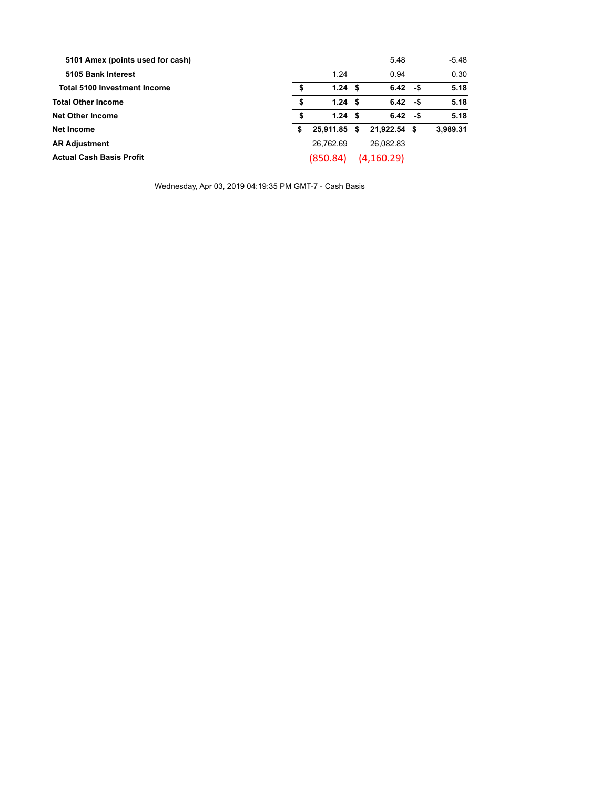| 5101 Amex (points used for cash)    |    |           |      | 5.48         | $-5.48$  |
|-------------------------------------|----|-----------|------|--------------|----------|
| 5105 Bank Interest                  |    | 1.24      |      | 0.94         | 0.30     |
| <b>Total 5100 Investment Income</b> | \$ | 1.24S     |      | $6.42 - $$   | 5.18     |
| <b>Total Other Income</b>           | \$ | 1.24S     |      | $6.42 - $$   | 5.18     |
| <b>Net Other Income</b>             | S  | 1.24S     |      | $6.42 - $$   | 5.18     |
| Net Income                          | \$ | 25.911.85 | - \$ | 21.922.54 \$ | 3,989.31 |
| <b>AR Adjustment</b>                |    | 26.762.69 |      | 26.082.83    |          |
| <b>Actual Cash Basis Profit</b>     |    | (850.84)  |      | (4, 160.29)  |          |

Wednesday, Apr 03, 2019 04:19:35 PM GMT-7 - Cash Basis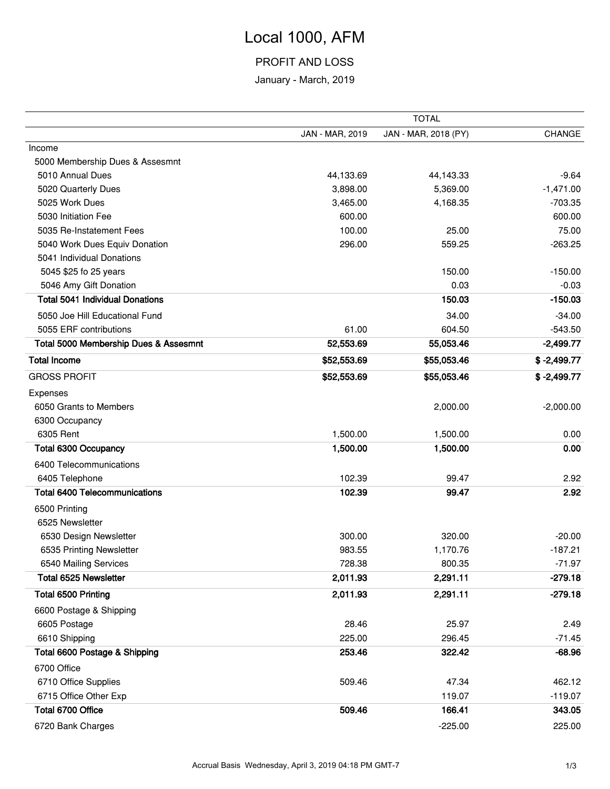# Local 1000, AFM

### PROFIT AND LOSS

January - March, 2019

|                                        | <b>TOTAL</b>    |                      |               |  |  |
|----------------------------------------|-----------------|----------------------|---------------|--|--|
|                                        | JAN - MAR, 2019 | JAN - MAR, 2018 (PY) | <b>CHANGE</b> |  |  |
| Income                                 |                 |                      |               |  |  |
| 5000 Membership Dues & Assesmnt        |                 |                      |               |  |  |
| 5010 Annual Dues                       | 44,133.69       | 44,143.33            | $-9.64$       |  |  |
| 5020 Quarterly Dues                    | 3,898.00        | 5,369.00             | $-1,471.00$   |  |  |
| 5025 Work Dues                         | 3,465.00        | 4,168.35             | $-703.35$     |  |  |
| 5030 Initiation Fee                    | 600.00          |                      | 600.00        |  |  |
| 5035 Re-Instatement Fees               | 100.00          | 25.00                | 75.00         |  |  |
| 5040 Work Dues Equiv Donation          | 296.00          | 559.25               | $-263.25$     |  |  |
| 5041 Individual Donations              |                 |                      |               |  |  |
| 5045 \$25 fo 25 years                  |                 | 150.00               | $-150.00$     |  |  |
| 5046 Amy Gift Donation                 |                 | 0.03                 | $-0.03$       |  |  |
| <b>Total 5041 Individual Donations</b> |                 | 150.03               | $-150.03$     |  |  |
| 5050 Joe Hill Educational Fund         |                 | 34.00                | $-34.00$      |  |  |
| 5055 ERF contributions                 | 61.00           | 604.50               | $-543.50$     |  |  |
| Total 5000 Membership Dues & Assesmnt  | 52,553.69       | 55,053.46            | $-2,499.77$   |  |  |
| <b>Total Income</b>                    | \$52,553.69     | \$55,053.46          | $$ -2,499.77$ |  |  |
| <b>GROSS PROFIT</b>                    | \$52,553.69     | \$55,053.46          | $$ -2,499.77$ |  |  |
| Expenses                               |                 |                      |               |  |  |
| 6050 Grants to Members                 |                 | 2,000.00             | $-2,000.00$   |  |  |
| 6300 Occupancy                         |                 |                      |               |  |  |
| 6305 Rent                              | 1,500.00        | 1,500.00             | 0.00          |  |  |
| <b>Total 6300 Occupancy</b>            | 1,500.00        | 1,500.00             | 0.00          |  |  |
| 6400 Telecommunications                |                 |                      |               |  |  |
| 6405 Telephone                         | 102.39          | 99.47                | 2.92          |  |  |
| <b>Total 6400 Telecommunications</b>   | 102.39          | 99.47                | 2.92          |  |  |
| 6500 Printing                          |                 |                      |               |  |  |
| 6525 Newsletter                        |                 |                      |               |  |  |
| 6530 Design Newsletter                 | 300.00          | 320.00               | $-20.00$      |  |  |
| 6535 Printing Newsletter               | 983.55          | 1,170.76             | $-187.21$     |  |  |
| 6540 Mailing Services                  | 728.38          | 800.35               | $-71.97$      |  |  |
| Total 6525 Newsletter                  | 2,011.93        | 2,291.11             | $-279.18$     |  |  |
| <b>Total 6500 Printing</b>             | 2,011.93        | 2,291.11             | $-279.18$     |  |  |
| 6600 Postage & Shipping                |                 |                      |               |  |  |
| 6605 Postage                           | 28.46           | 25.97                | 2.49          |  |  |
| 6610 Shipping                          | 225.00          | 296.45               | $-71.45$      |  |  |
| Total 6600 Postage & Shipping          | 253.46          | 322.42               | $-68.96$      |  |  |
| 6700 Office                            |                 |                      |               |  |  |
| 6710 Office Supplies                   | 509.46          | 47.34                | 462.12        |  |  |
| 6715 Office Other Exp                  |                 | 119.07               | $-119.07$     |  |  |
| Total 6700 Office                      | 509.46          | 166.41               | 343.05        |  |  |
| 6720 Bank Charges                      |                 | $-225.00$            | 225.00        |  |  |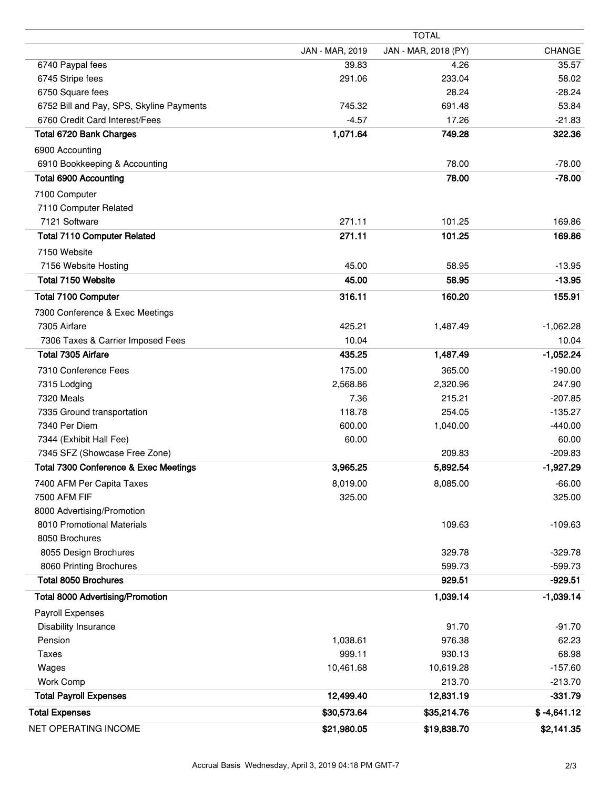|                                          |                 | <b>TOTAL</b>         |               |
|------------------------------------------|-----------------|----------------------|---------------|
|                                          | JAN - MAR, 2019 | JAN - MAR, 2018 (PY) | <b>CHANGE</b> |
| 6740 Paypal fees                         | 39.83           | 4.26                 | 35.57         |
| 6745 Stripe fees                         | 291.06          | 233.04               | 58.02         |
| 6750 Square fees                         |                 | 28.24                | $-28.24$      |
| 6752 Bill and Pay, SPS, Skyline Payments | 745.32          | 691.48               | 53.84         |
| 6760 Credit Card Interest/Fees           | $-4.57$         | 17.26                | $-21.83$      |
| Total 6720 Bank Charges                  | 1,071.64        | 749.28               | 322.36        |
| 6900 Accounting                          |                 |                      |               |
| 6910 Bookkeeping & Accounting            |                 | 78.00                | $-78.00$      |
| <b>Total 6900 Accounting</b>             |                 | 78.00                | $-78.00$      |
| 7100 Computer                            |                 |                      |               |
| 7110 Computer Related                    |                 |                      |               |
| 7121 Software                            | 271.11          | 101.25               | 169.86        |
| <b>Total 7110 Computer Related</b>       | 271.11          | 101.25               | 169.86        |
| 7150 Website                             |                 |                      |               |
| 7156 Website Hosting                     | 45.00           | 58.95                | $-13.95$      |
| Total 7150 Website                       | 45.00           | 58.95                | $-13.95$      |
| <b>Total 7100 Computer</b>               |                 |                      |               |
|                                          | 316.11          | 160.20               | 155.91        |
| 7300 Conference & Exec Meetings          |                 |                      |               |
| 7305 Airfare                             | 425.21          | 1,487.49             | $-1,062.28$   |
| 7306 Taxes & Carrier Imposed Fees        | 10.04           |                      | 10.04         |
| <b>Total 7305 Airfare</b>                | 435.25          | 1,487.49             | $-1,052.24$   |
| 7310 Conference Fees                     | 175.00          | 365.00               | $-190.00$     |
| 7315 Lodging                             | 2,568.86        | 2,320.96             | 247.90        |
| 7320 Meals                               | 7.36            | 215.21               | $-207.85$     |
| 7335 Ground transportation               | 118.78          | 254.05               | $-135.27$     |
| 7340 Per Diem                            | 600.00          | 1,040.00             | $-440.00$     |
| 7344 (Exhibit Hall Fee)                  | 60.00           |                      | 60.00         |
| 7345 SFZ (Showcase Free Zone)            |                 | 209.83               | $-209.83$     |
| Total 7300 Conference & Exec Meetings    | 3,965.25        | 5,892.54             | $-1,927.29$   |
| 7400 AFM Per Capita Taxes                | 8,019.00        | 8,085.00             | $-66.00$      |
| 7500 AFM FIF                             | 325.00          |                      | 325.00        |
| 8000 Advertising/Promotion               |                 |                      |               |
| 8010 Promotional Materials               |                 | 109.63               | $-109.63$     |
| 8050 Brochures                           |                 |                      |               |
| 8055 Design Brochures                    |                 | 329.78               | $-329.78$     |
| 8060 Printing Brochures                  |                 | 599.73               | $-599.73$     |
| <b>Total 8050 Brochures</b>              |                 | 929.51               | $-929.51$     |
| <b>Total 8000 Advertising/Promotion</b>  |                 | 1,039.14             | $-1,039.14$   |
| Payroll Expenses                         |                 |                      |               |
| <b>Disability Insurance</b>              |                 | 91.70                | $-91.70$      |
| Pension                                  | 1,038.61        | 976.38               | 62.23         |
| <b>Taxes</b>                             | 999.11          | 930.13               | 68.98         |
| Wages                                    | 10,461.68       | 10,619.28            | $-157.60$     |
| Work Comp                                |                 | 213.70               | $-213.70$     |
| <b>Total Payroll Expenses</b>            | 12,499.40       | 12,831.19            | $-331.79$     |
| <b>Total Expenses</b>                    | \$30,573.64     | \$35,214.76          | $$ -4,641.12$ |
| NET OPERATING INCOME                     | \$21,980.05     | \$19,838.70          | \$2,141.35    |
|                                          |                 |                      |               |